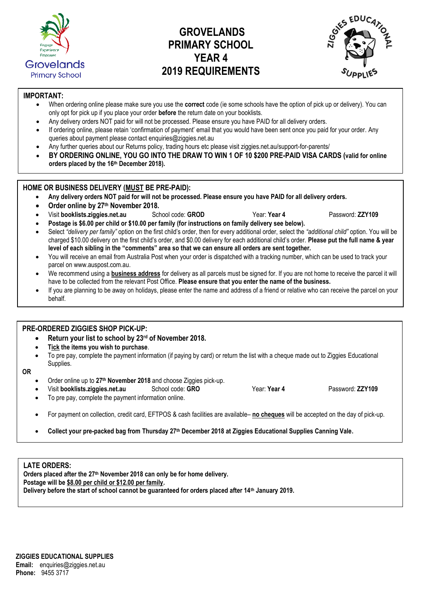

# **GROVELANDS PRIMARY SCHOOL YEAR 4 2019 REQUIREMENTS**



### **IMPORTANT:**

- When ordering online please make sure you use the **correct** code (ie some schools have the option of pick up or delivery). You can only opt for pick up if you place your order **before** the return date on your booklists.
- Any delivery orders NOT paid for will not be processed. Please ensure you have PAID for all delivery orders.
- If ordering online, please retain 'confirmation of payment' email that you would have been sent once you paid for your order. Any queries about payment please contact [enquiries@ziggies.net.au](mailto:enquiries@ziggies.net.au)
- Any further queries about our Returns policy, trading hours etc please visit ziggies.net.au/support-for-parents/
- **BY ORDERING ONLINE, YOU GO INTO THE DRAW TO WIN 1 OF 10 \$200 PRE-PAID VISA CARDS (valid for online orders placed by the 16th December 2018).**

#### **HOME OR BUSINESS DELIVERY (MUST BE PRE-PAID):**

- **Any delivery orders NOT paid for will not be processed. Please ensure you have PAID for all delivery orders.**
- **Order online by 27 th November 2018.**
	- Visit **[booklists.ziggies.net.au](http://www.booklists.ziggies.net.au/)** School code: **GROD** Year: **Year 4** Password: **ZZY109**

**Postage is \$6.00 per child or \$10.00 per family (for instructions on family delivery see below).**

- Select "delivery per family" option on the first child's order, then for every additional order, select the "additional child" option. You will be charged \$10.00 delivery on the first child's order, and \$0.00 delivery for each additional child's order. **Please put the full name & year level of each sibling in the "comments" area so that we can ensure all orders are sent together.**
- You will receive an email from Australia Post when your order is dispatched with a tracking number, which can be used to track your parcel on [www.auspost.com.au.](http://www.auspost.com.au/)
- We recommend using a **business address** for delivery as all parcels must be signed for. If you are not home to receive the parcel it will have to be collected from the relevant Post Office. **Please ensure that you enter the name of the business.**
- If you are planning to be away on holidays, please enter the name and address of a friend or relative who can receive the parcel on your behalf.

#### **PRE-ORDERED ZIGGIES SHOP PICK-UP:**

- **Return your list to school by 23rd of November 2018.**
- **Tick the items you wish to purchase**.
- To pre pay, complete the payment information (if paying by card) or return the list with a cheque made out to Ziggies Educational Supplies.

#### **OR**

- Order online up to **27th November 2018** and choose Ziggies pick-up.
- Visit **[booklists.ziggies.net.au](http://www.booklists.ziggies.net.au/)** School code: **GRO** Year: **Year 4** Password: **ZZY109**
- To pre pay, complete the payment information online.

#### For payment on collection, credit card, EFTPOS & cash facilities are available– **no cheques** will be accepted on the day of pick-up.

**Collect your pre-packed bag from Thursday 27th December 2018 at Ziggies Educational Supplies Canning Vale.**

#### **LATE ORDERS:**

**Orders placed after the 27th November 2018 can only be for home delivery. Postage will be \$8.00 per child or \$12.00 per family. Delivery before the start of school cannot be guaranteed for orders placed after 14th January 2019.**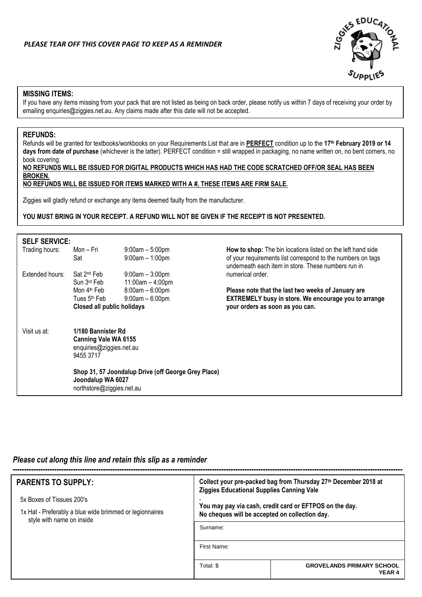

#### **MISSING ITEMS:**

If you have any items missing from your pack that are not listed as being on back order, please notify us within 7 days of receiving your order by emailing enquiries@ziggies.net.au. Any claims made after this date will not be accepted.

#### **REFUNDS:**

Refunds will be granted for textbooks/workbooks on your Requirements List that are in **PERFECT** condition up to the **17 th February 2019 or 14 days from date of purchase** (whichever is the latter). PERFECT condition = still wrapped in packaging, no name written on, no bent corners, no book covering.

**NO REFUNDS WILL BE ISSUED FOR DIGITAL PRODUCTS WHICH HAS HAD THE CODE SCRATCHED OFF/OR SEAL HAS BEEN BROKEN.**

## **NO REFUNDS WILL BE ISSUED FOR ITEMS MARKED WITH A #, THESE ITEMS ARE FIRM SALE.**

Ziggies will gladly refund or exchange any items deemed faulty from the manufacturer.

### **YOU MUST BRING IN YOUR RECEIPT. A REFUND WILL NOT BE GIVEN IF THE RECEIPT IS NOT PRESENTED.**

| <b>SELF SERVICE:</b> |                                                                                     |                                                     |                                                                                                                                                                                   |
|----------------------|-------------------------------------------------------------------------------------|-----------------------------------------------------|-----------------------------------------------------------------------------------------------------------------------------------------------------------------------------------|
| Trading hours:       | Mon – Fri<br>Sat                                                                    | $9:00am - 5:00pm$<br>$9:00am - 1:00pm$              | How to shop: The bin locations listed on the left hand side<br>of your requirements list correspond to the numbers on tags<br>underneath each item in store. These numbers run in |
| Extended hours:      | Sat 2 <sup>nd</sup> Feb<br>Sun 3rd Feb                                              | $9:00am - 3:00pm$<br>$11:00am - 4:00pm$             | numerical order.                                                                                                                                                                  |
|                      | Mon 4 <sup>th</sup> Feb<br>Tues 5 <sup>th</sup> Feb                                 | $8:00am - 6:00pm$<br>$9:00am - 6:00pm$              | Please note that the last two weeks of January are<br><b>EXTREMELY busy in store. We encourage you to arrange</b>                                                                 |
|                      | <b>Closed all public holidays</b>                                                   |                                                     | your orders as soon as you can.                                                                                                                                                   |
| Visit us at:         | 1/180 Bannister Rd<br>Canning Vale WA 6155<br>enquiries@ziggies.net.au<br>9455 3717 |                                                     |                                                                                                                                                                                   |
|                      | Joondalup WA 6027<br>northstore@ziggies.net.au                                      | Shop 31, 57 Joondalup Drive (off George Grey Place) |                                                                                                                                                                                   |

#### *Please cut along this line and retain this slip as a reminder*

| <b>PARENTS TO SUPPLY:</b>                                                            | Collect your pre-packed bag from Thursday 27th December 2018 at<br><b>Ziggies Educational Supplies Canning Vale</b> |                                                   |  |  |
|--------------------------------------------------------------------------------------|---------------------------------------------------------------------------------------------------------------------|---------------------------------------------------|--|--|
| 5x Boxes of Tissues 200's                                                            |                                                                                                                     |                                                   |  |  |
| 1x Hat - Preferably a blue wide brimmed or legionnaires<br>style with name on inside | You may pay via cash, credit card or EFTPOS on the day.<br>No cheques will be accepted on collection day.           |                                                   |  |  |
|                                                                                      | Surname:                                                                                                            |                                                   |  |  |
|                                                                                      | First Name:                                                                                                         |                                                   |  |  |
|                                                                                      | Total: \$                                                                                                           | <b>GROVELANDS PRIMARY SCHOOL</b><br><b>YEAR 4</b> |  |  |